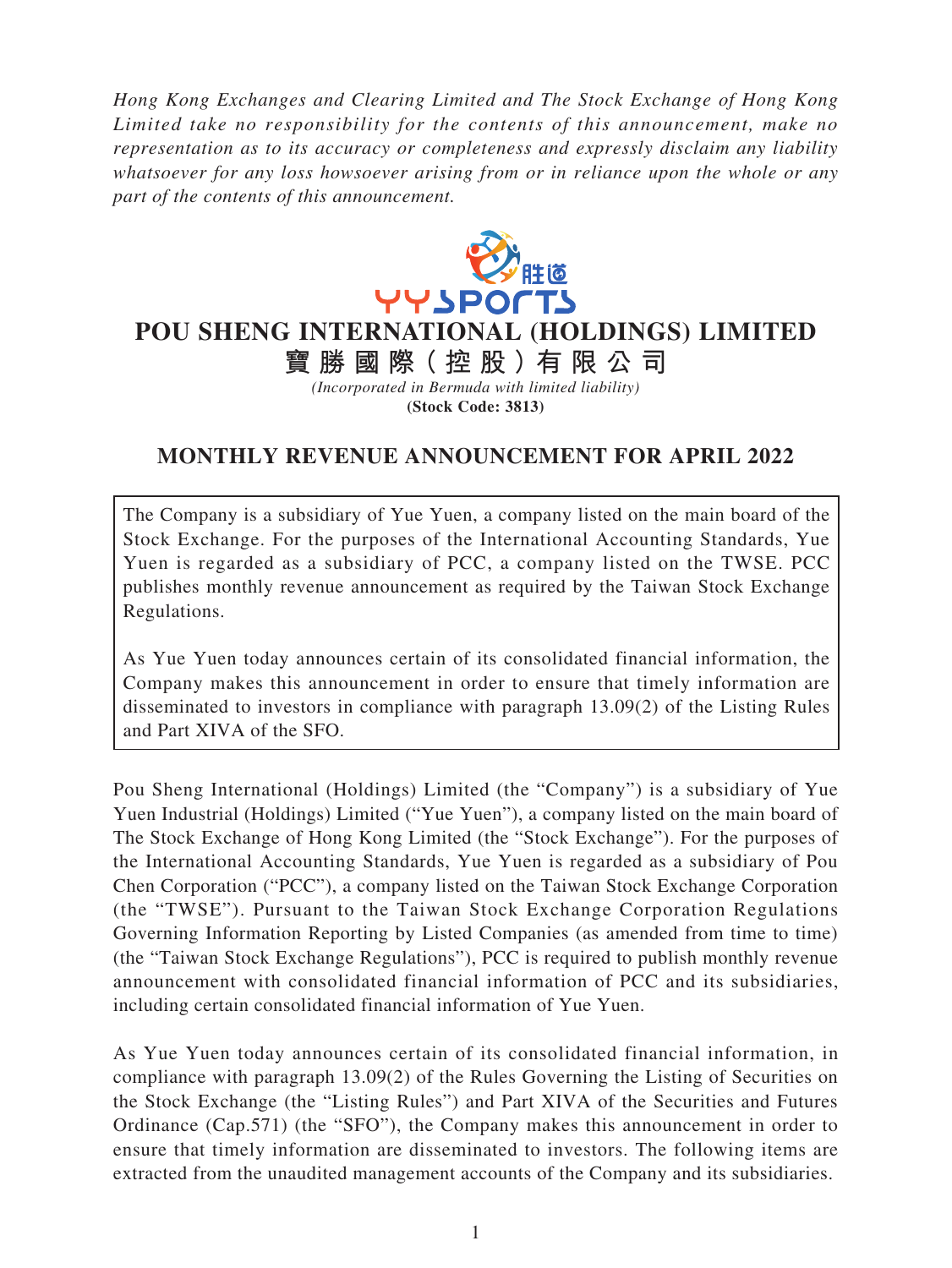*Hong Kong Exchanges and Clearing Limited and The Stock Exchange of Hong Kong Limited take no responsibility for the contents of this announcement, make no representation as to its accuracy or completeness and expressly disclaim any liability whatsoever for any loss howsoever arising from or in reliance upon the whole or any part of the contents of this announcement.*



**POU SHENG INTERNATIONAL (HOLDINGS) LIMITED**

**寶勝國際( 控 股 )有 限公司** *(Incorporated in Bermuda with limited liability)* **(Stock Code: 3813)**

## **MONTHLY REVENUE ANNOUNCEMENT FOR APRIL 2022**

The Company is a subsidiary of Yue Yuen, a company listed on the main board of the Stock Exchange. For the purposes of the International Accounting Standards, Yue Yuen is regarded as a subsidiary of PCC, a company listed on the TWSE. PCC publishes monthly revenue announcement as required by the Taiwan Stock Exchange Regulations.

As Yue Yuen today announces certain of its consolidated financial information, the Company makes this announcement in order to ensure that timely information are disseminated to investors in compliance with paragraph 13.09(2) of the Listing Rules and Part XIVA of the SFO.

Pou Sheng International (Holdings) Limited (the "Company") is a subsidiary of Yue Yuen Industrial (Holdings) Limited ("Yue Yuen"), a company listed on the main board of The Stock Exchange of Hong Kong Limited (the "Stock Exchange"). For the purposes of the International Accounting Standards, Yue Yuen is regarded as a subsidiary of Pou Chen Corporation ("PCC"), a company listed on the Taiwan Stock Exchange Corporation (the "TWSE"). Pursuant to the Taiwan Stock Exchange Corporation Regulations Governing Information Reporting by Listed Companies (as amended from time to time) (the "Taiwan Stock Exchange Regulations"), PCC is required to publish monthly revenue announcement with consolidated financial information of PCC and its subsidiaries, including certain consolidated financial information of Yue Yuen.

As Yue Yuen today announces certain of its consolidated financial information, in compliance with paragraph 13.09(2) of the Rules Governing the Listing of Securities on the Stock Exchange (the "Listing Rules") and Part XIVA of the Securities and Futures Ordinance (Cap.571) (the "SFO"), the Company makes this announcement in order to ensure that timely information are disseminated to investors. The following items are extracted from the unaudited management accounts of the Company and its subsidiaries.